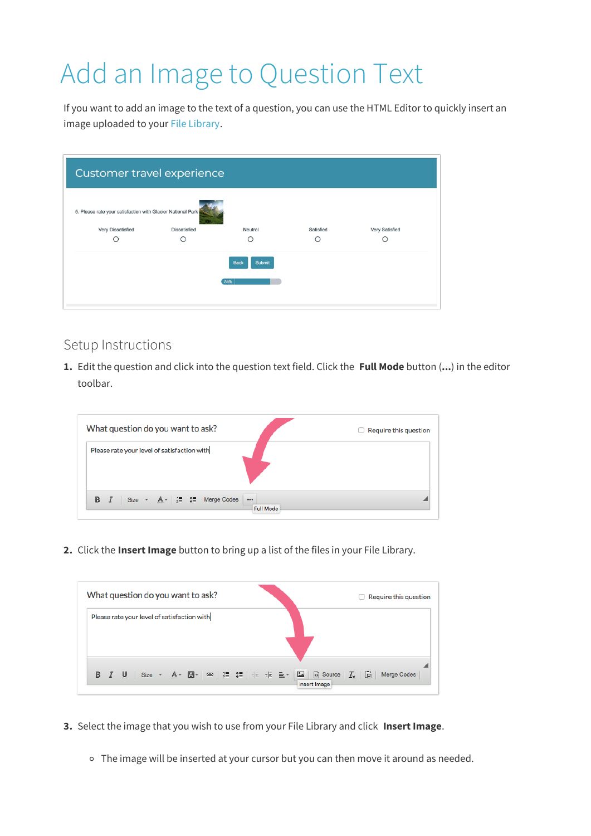## Add an Image to Question Text

If you want to add an image to the text of a question, you can use the HTML Editor to quickly insert an image uploaded to your File Library.

| Customer travel experience                                  |                     |         |           |                |  |  |  |  |
|-------------------------------------------------------------|---------------------|---------|-----------|----------------|--|--|--|--|
| 5. Please rate your satisfaction with Glacier National Park |                     |         |           |                |  |  |  |  |
| Very Dissatisfied                                           | <b>Dissatisfied</b> | Neutral | Satisfied | Very Satisfied |  |  |  |  |
|                                                             |                     |         |           |                |  |  |  |  |
| Submit<br><b>Back</b><br>75%                                |                     |         |           |                |  |  |  |  |

## Setup Instructions

**1.** Edit the question and click into the question text field. Click the **Full Mode** button (**...**) in the editor toolbar.

| What question do you want to ask?                                                                                     | $\Box$ Require this question |
|-----------------------------------------------------------------------------------------------------------------------|------------------------------|
| Please rate your level of satisfaction with                                                                           |                              |
| <b>B</b> $I$ Size $\cdot$ $A \cdot$ $\left  \frac{1}{2} \right $ $\frac{2}{3}$ Merge Codes<br>000<br><b>Full Mode</b> |                              |

**2.** Click the **Insert Image** button to bring up a list of the files in your File Library.



- **3.** Select the image that you wish to use from your File Library and click **Insert Image**.
	- The image will be inserted at your cursor but you can then move it around as needed.